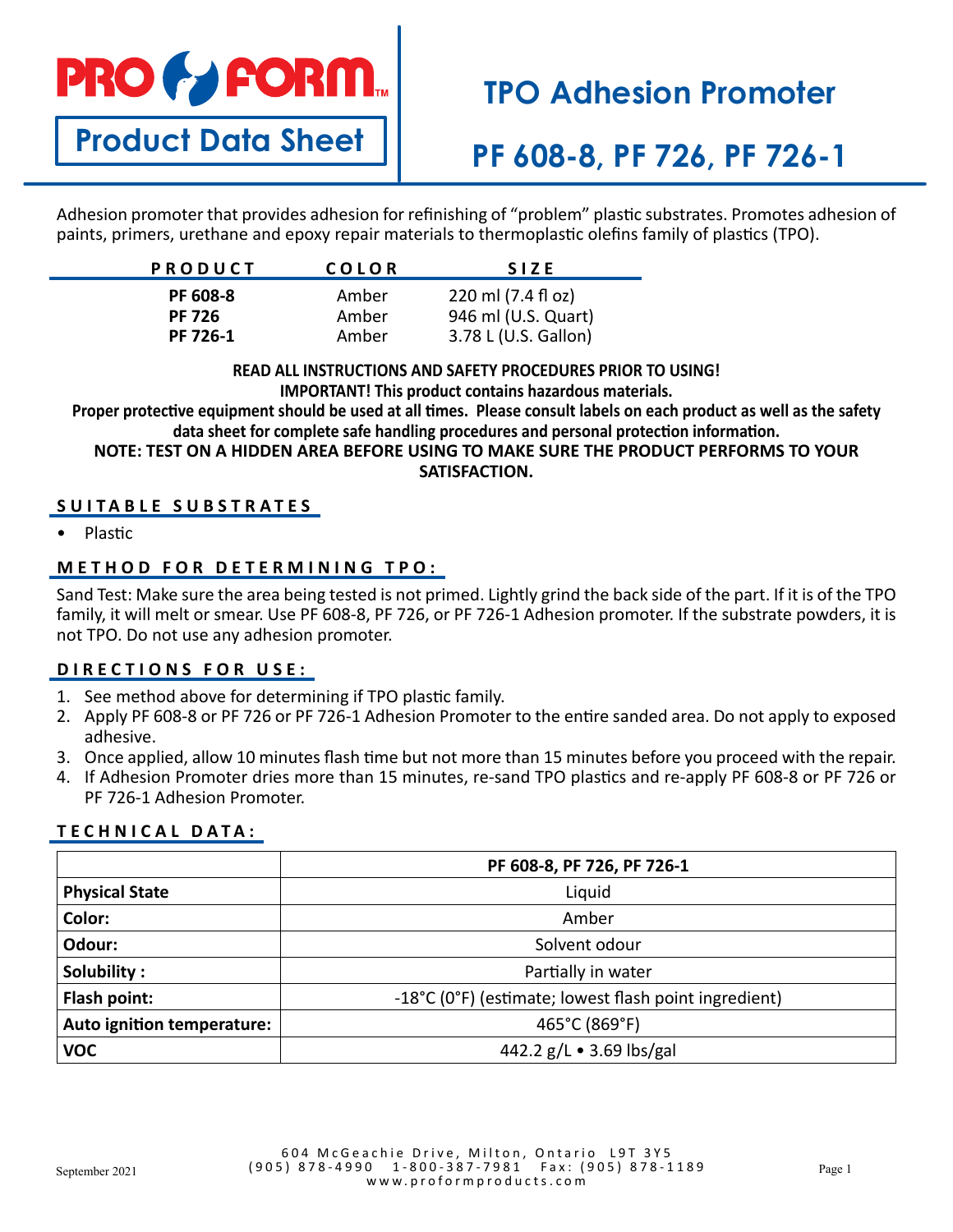# **PRO & FORM**

# **TPO Adhesion Promoter**

# **Product Data Sheet**

### **PF 608-8, PF 726, PF 726-1**

Adhesion promoter that provides adhesion for refinishing of "problem" plastic substrates. Promotes adhesion of paints, primers, urethane and epoxy repair materials to thermoplastic olefins family of plastics (TPO).

| <b>PRODUCT</b> | COLOR | <b>SIZE</b>          |
|----------------|-------|----------------------|
| PF 608-8       | Amber | 220 ml (7.4 fl oz)   |
| <b>PF 726</b>  | Amber | 946 ml (U.S. Quart)  |
| PF 726-1       | Amber | 3.78 L (U.S. Gallon) |

#### **READ ALL INSTRUCTIONS AND SAFETY PROCEDURES PRIOR TO USING! IMPORTANT! This product contains hazardous materials.**

**Proper protective equipment should be used at all times. Please consult labels on each product as well as the safety data sheet for complete safe handling procedures and personal protection information. NOTE: TEST ON A HIDDEN AREA BEFORE USING TO MAKE SURE THE PRODUCT PERFORMS TO YOUR** 

#### **SATISFACTION.**

#### **SUITABLE SUBSTRATES**

• Plastic

#### **METHOD FOR DETERMINING TPO:**

Sand Test: Make sure the area being tested is not primed. Lightly grind the back side of the part. If it is of the TPO family, it will melt or smear. Use PF 608-8, PF 726, or PF 726-1 Adhesion promoter. If the substrate powders, it is not TPO. Do not use any adhesion promoter.

#### **DIRECTIONS FOR USE:**

- 1. See method above for determining if TPO plastic family.
- 2. Apply PF 608-8 or PF 726 or PF 726-1 Adhesion Promoter to the entire sanded area. Do not apply to exposed adhesive.
- 3. Once applied, allow 10 minutes flash time but not more than 15 minutes before you proceed with the repair.
- 4. If Adhesion Promoter dries more than 15 minutes, re-sand TPO plastics and re-apply PF 608-8 or PF 726 or PF 726-1 Adhesion Promoter.

#### **TECHNICAL DATA:**

|                            | PF 608-8, PF 726, PF 726-1                            |  |
|----------------------------|-------------------------------------------------------|--|
| <b>Physical State</b>      | Liquid                                                |  |
| Color:                     | Amber                                                 |  |
| Odour:                     | Solvent odour                                         |  |
| Solubility:                | Partially in water                                    |  |
| Flash point:               | -18°C (0°F) (estimate; lowest flash point ingredient) |  |
| Auto ignition temperature: | 465°C (869°F)                                         |  |
| <b>VOC</b>                 | 442.2 g/L • 3.69 lbs/gal                              |  |